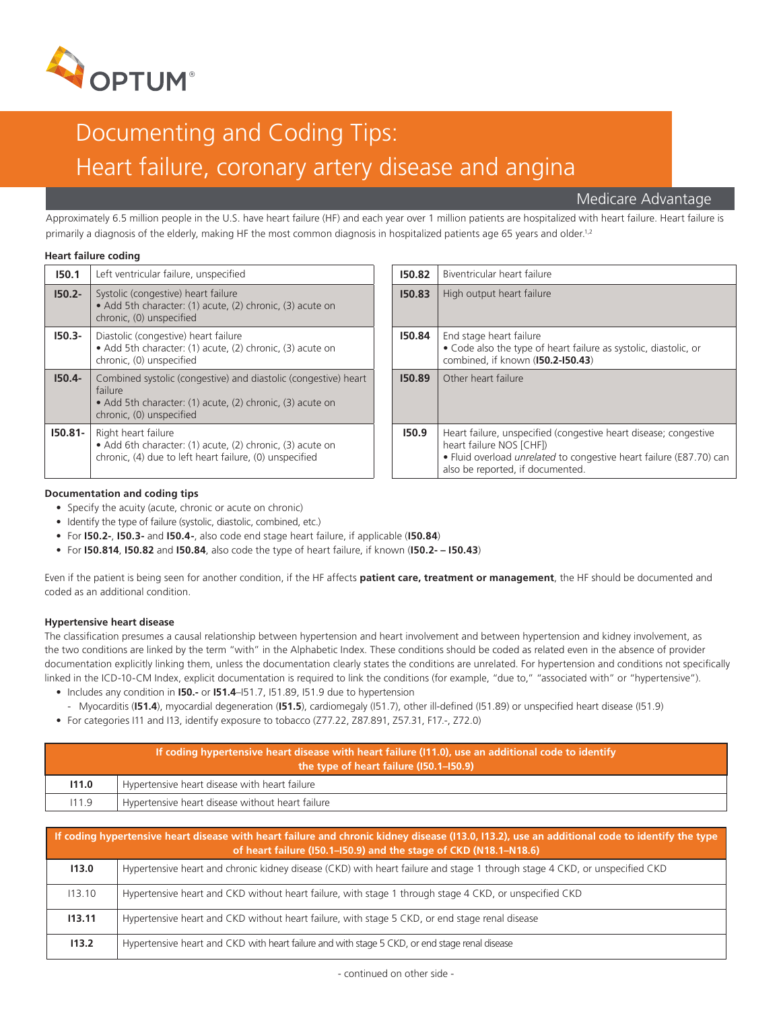

# Documenting and Coding Tips: Heart failure, coronary artery disease and angina

Medicare Advantage

Approximately 6.5 million people in the U.S. have heart failure (HF) and each year over 1 million patients are hospitalized with heart failure. Heart failure is primarily a diagnosis of the elderly, making HF the most common diagnosis in hospitalized patients age 65 years and older.<sup>1,2</sup>

# **Heart failure coding**

| 150.1      | Left ventricular failure, unspecified                                                                                                                               | 150.82 | Biventricular heart failure                                                                                        |
|------------|---------------------------------------------------------------------------------------------------------------------------------------------------------------------|--------|--------------------------------------------------------------------------------------------------------------------|
| $150.2 -$  | Systolic (congestive) heart failure<br>• Add 5th character: (1) acute, (2) chronic, (3) acute on<br>chronic, (0) unspecified                                        | 150.83 | High output heart failure                                                                                          |
| $150.3 -$  | Diastolic (congestive) heart failure<br>• Add 5th character: (1) acute, (2) chronic, (3) acute on<br>chronic, (0) unspecified                                       | 150.84 | End stage heart failure<br>• Code also the type of h<br>combined, if known (I50.                                   |
| $150.4 -$  | Combined systolic (congestive) and diastolic (congestive) heart<br>failure<br>• Add 5th character: (1) acute, (2) chronic, (3) acute on<br>chronic, (0) unspecified | 150.89 | Other heart failure                                                                                                |
| $150.81 -$ | Right heart failure<br>• Add 6th character: (1) acute, (2) chronic, (3) acute on<br>chronic, (4) due to left heart failure, (0) unspecified                         | 150.9  | Heart failure, unspecified<br>heart failure NOS [CHF])<br>· Fluid overload unrelated<br>also be reported, if docur |
|            |                                                                                                                                                                     |        |                                                                                                                    |

| 150.82 | Biventricular heart failure                                                                                                                                                                                    |  |
|--------|----------------------------------------------------------------------------------------------------------------------------------------------------------------------------------------------------------------|--|
| 150.83 | High output heart failure                                                                                                                                                                                      |  |
| 150.84 | End stage heart failure<br>• Code also the type of heart failure as systolic, diastolic, or<br>combined, if known (150.2-150.43)                                                                               |  |
| 150.89 | Other heart failure                                                                                                                                                                                            |  |
| 150.9  | Heart failure, unspecified (congestive heart disease; congestive<br>heart failure NOS [CHF])<br>• Fluid overload <i>unrelated</i> to congestive heart failure (E87.70) can<br>also be reported, if documented. |  |

# **Documentation and coding tips**

- Specify the acuity (acute, chronic or acute on chronic)
- Identify the type of failure (systolic, diastolic, combined, etc.)
- For **I50.2-**, **I50.3-** and **I50.4-**, also code end stage heart failure, if applicable (**I50.84**)
- For **I50.814**, **I50.82** and **I50.84**, also code the type of heart failure, if known (**I50.2- I50.43**)

Even if the patient is being seen for another condition, if the HF affects **patient care, treatment or management**, the HF should be documented and coded as an additional condition.

# **Hypertensive heart disease**

The classification presumes a causal relationship between hypertension and heart involvement and between hypertension and kidney involvement, as the two conditions are linked by the term "with" in the Alphabetic Index. These conditions should be coded as related even in the absence of provider documentation explicitly linking them, unless the documentation clearly states the conditions are unrelated. For hypertension and conditions not specifically linked in the ICD-10-CM Index, explicit documentation is required to link the conditions (for example, "due to," "associated with" or "hypertensive").

- Includes any condition in **I50.-** or **I51.4**–I51.7, I51.89, I51.9 due to hypertension
	- Myocarditis (**I51.4**), myocardial degeneration (**I51.5**), cardiomegaly (I51.7), other ill-defined (I51.89) or unspecified heart disease (I51.9)
- For categories I11 and I13, identify exposure to tobacco (Z77.22, Z87.891, Z57.31, F17.-, Z72.0)

| If coding hypertensive heart disease with heart failure (111.0), use an additional code to identify<br>the type of heart failure (I50.1-I50.9) |                                                  |  |
|------------------------------------------------------------------------------------------------------------------------------------------------|--------------------------------------------------|--|
| 111.0                                                                                                                                          | Hypertensive heart disease with heart failure    |  |
| 111.9                                                                                                                                          | Hypertensive heart disease without heart failure |  |
|                                                                                                                                                |                                                  |  |

| If coding hypertensive heart disease with heart failure and chronic kidney disease (113.0, 113.2), use an additional code to identify the type<br>of heart failure (I50.1-I50.9) and the stage of CKD (N18.1-N18.6) |                                                                                                                            |  |  |  |
|---------------------------------------------------------------------------------------------------------------------------------------------------------------------------------------------------------------------|----------------------------------------------------------------------------------------------------------------------------|--|--|--|
| 113.0                                                                                                                                                                                                               | Hypertensive heart and chronic kidney disease (CKD) with heart failure and stage 1 through stage 4 CKD, or unspecified CKD |  |  |  |
| 113.10                                                                                                                                                                                                              | Hypertensive heart and CKD without heart failure, with stage 1 through stage 4 CKD, or unspecified CKD                     |  |  |  |
| 113.11                                                                                                                                                                                                              | Hypertensive heart and CKD without heart failure, with stage 5 CKD, or end stage renal disease                             |  |  |  |
| 113.2                                                                                                                                                                                                               | Hypertensive heart and CKD with heart failure and with stage 5 CKD, or end stage renal disease                             |  |  |  |